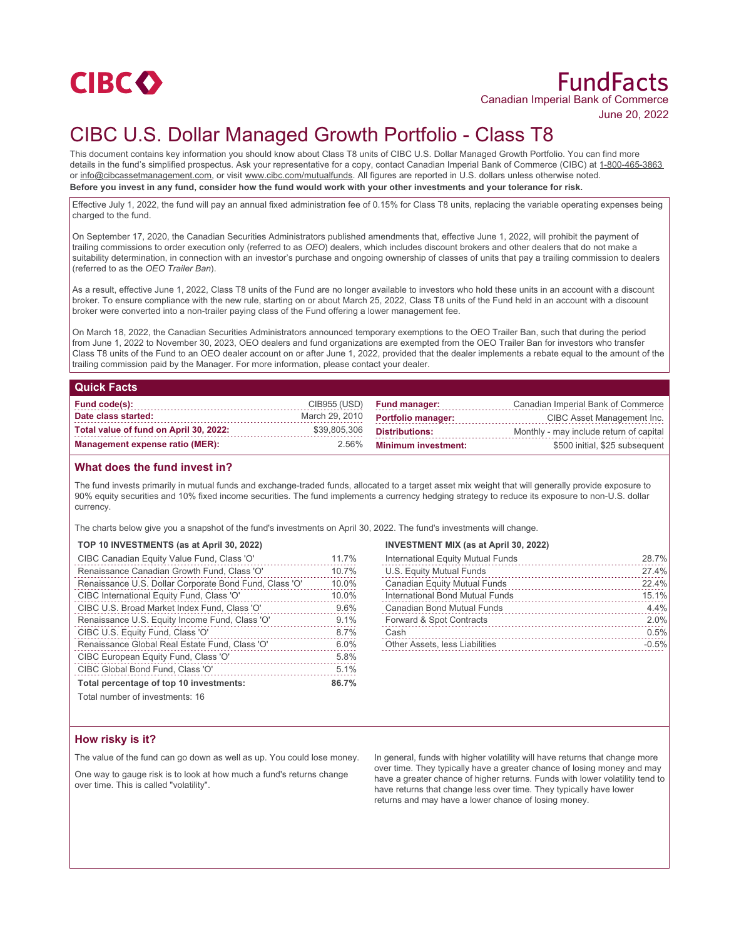

# FundFacts Canadian Imperial Bank of Commerce

June 20, 2022

# CIBC U.S. Dollar Managed Growth Portfolio - Class T8

This document contains key information you should know about Class T8 units of CIBC U.S. Dollar Managed Growth Portfolio. You can find more details in the fund's simplified prospectus. Ask your representative for a copy, contact Canadian Imperial Bank of Commerce (CIBC) at 1-800-465-3863 or info@cibcassetmanagement.com, or visit www.cibc.com/mutualfunds. All figures are reported in U.S. dollars unless otherwise noted. **Before you invest in any fund, consider how the fund would work with your other investments and your tolerance for risk.**

Effective July 1, 2022, the fund will pay an annual fixed administration fee of 0.15% for Class T8 units, replacing the variable operating expenses being charged to the fund.

On September 17, 2020, the Canadian Securities Administrators published amendments that, effective June 1, 2022, will prohibit the payment of trailing commissions to order execution only (referred to as *OEO*) dealers, which includes discount brokers and other dealers that do not make a suitability determination, in connection with an investor's purchase and ongoing ownership of classes of units that pay a trailing commission to dealers (referred to as the *OEO Trailer Ban*).

As a result, effective June 1, 2022, Class T8 units of the Fund are no longer available to investors who hold these units in an account with a discount broker. To ensure compliance with the new rule, starting on or about March 25, 2022, Class T8 units of the Fund held in an account with a discount broker were converted into a non-trailer paying class of the Fund offering a lower management fee.

On March 18, 2022, the Canadian Securities Administrators announced temporary exemptions to the OEO Trailer Ban, such that during the period from June 1, 2022 to November 30, 2023, OEO dealers and fund organizations are exempted from the OEO Trailer Ban for investors who transfer Class T8 units of the Fund to an OEO dealer account on or after June 1, 2022, provided that the dealer implements a rebate equal to the amount of the trailing commission paid by the Manager. For more information, please contact your dealer.

#### **Quick Facts**

| Fund code(s):                          | CIB955 (USD)   | <b>Fund manager:</b>       | Canadian Imperial Bank of Commerce      |
|----------------------------------------|----------------|----------------------------|-----------------------------------------|
| Date class started:                    | March 29, 2010 | <b>Portfolio manager:</b>  | CIBC Asset Management Inc.              |
| Total value of fund on April 30, 2022: | \$39,805,306   | Distributions:             | Monthly - may include return of capital |
| Management expense ratio (MER):        | $2.56\%$       | <b>Minimum investment:</b> | \$500 initial, \$25 subsequent          |

## **What does the fund invest in?**

The fund invests primarily in mutual funds and exchange-traded funds, allocated to a target asset mix weight that will generally provide exposure to 90% equity securities and 10% fixed income securities. The fund implements a currency hedging strategy to reduce its exposure to non-U.S. dollar currency.

The charts below give you a snapshot of the fund's investments on April 30, 2022. The fund's investments will change.

#### **TOP 10 INVESTMENTS (as at April 30, 2022)**

| CIBC Canadian Equity Value Fund, Class 'O'             | 11.7% |
|--------------------------------------------------------|-------|
| Renaissance Canadian Growth Fund, Class 'O'            | 10.7% |
| Renaissance U.S. Dollar Corporate Bond Fund, Class 'O' | 10.0% |
| CIBC International Equity Fund, Class 'O'              | 10.0% |
| CIBC U.S. Broad Market Index Fund, Class 'O'           | 9.6%  |
| Renaissance U.S. Equity Income Fund, Class 'O'         | 9.1%  |
| CIBC U.S. Equity Fund, Class 'O'                       | 8.7%  |
| Renaissance Global Real Estate Fund, Class 'O'         | 6.0%  |
| CIBC European Equity Fund, Class 'O'                   | 5.8%  |
| CIBC Global Bond Fund, Class 'O'                       | 5.1%  |
| Total percentage of top 10 investments:                | 86.7% |

### **INVESTMENT MIX (as at April 30, 2022)**

| International Equity Mutual Funds | 28.7%   |
|-----------------------------------|---------|
| U.S. Equity Mutual Funds          | 27.4%   |
| Canadian Equity Mutual Funds      | 22.4%   |
| International Bond Mutual Funds   | 15.1%   |
| <b>Canadian Bond Mutual Funds</b> | 4.4%    |
| Forward & Spot Contracts          | 2.0%    |
| Cash                              | 0.5%    |
| Other Assets, less Liabilities    | $-0.5%$ |

Total number of investments: 16

# **How risky is it?**

The value of the fund can go down as well as up. You could lose money.

One way to gauge risk is to look at how much a fund's returns change over time. This is called "volatility".

In general, funds with higher volatility will have returns that change more over time. They typically have a greater chance of losing money and may have a greater chance of higher returns. Funds with lower volatility tend to have returns that change less over time. They typically have lower returns and may have a lower chance of losing money.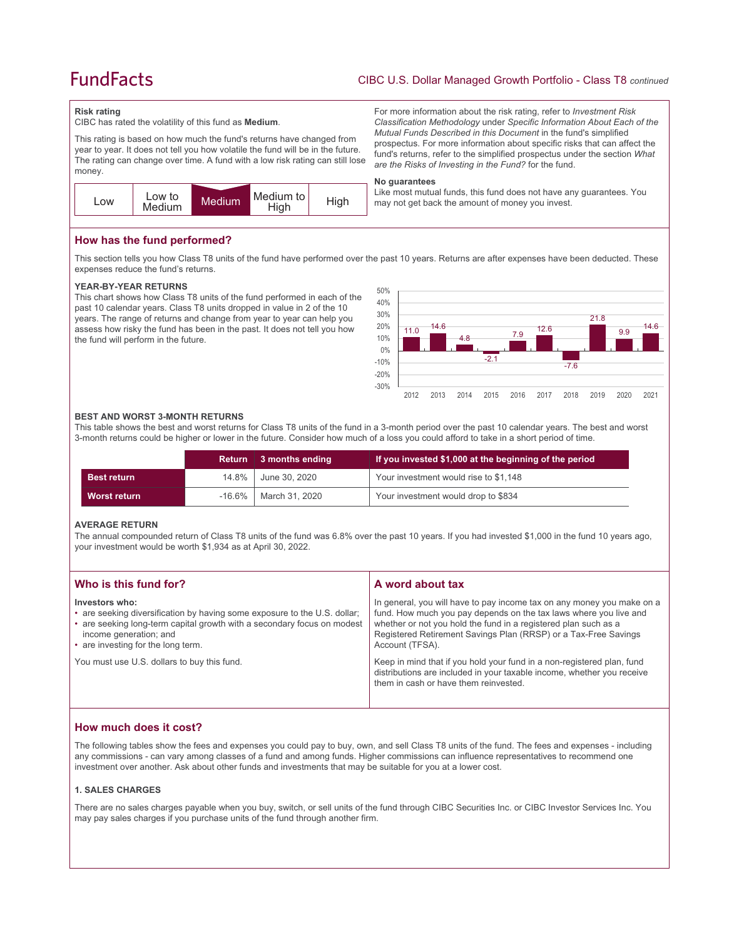# **FundFacts**

For more information about the risk rating, refer to *Investment Risk Classification Methodology* under *Specific Information About Each of the Mutual Funds Described in this Document* in the fund's simplified prospectus. For more information about specific risks that can affect the fund's returns, refer to the simplified prospectus under the section *What* 

Like most mutual funds, this fund does not have any guarantees. You

*are the Risks of Investing in the Fund?* for the fund.

may not get back the amount of money you invest.

#### **Risk rating**

CIBC has rated the volatility of this fund as **Medium**.

This rating is based on how much the fund's returns have changed from year to year. It does not tell you how volatile the fund will be in the future. The rating can change over time. A fund with a low risk rating can still lose money.



**How has the fund performed?**

This section tells you how Class T8 units of the fund have performed over the past 10 years. Returns are after expenses have been deducted. These expenses reduce the fund's returns.

**No guarantees**

#### **YEAR-BY-YEAR RETURNS**

This chart shows how Class T8 units of the fund performed in each of the past 10 calendar years. Class T8 units dropped in value in 2 of the 10 years. The range of returns and change from year to year can help you assess how risky the fund has been in the past. It does not tell you how the fund will perform in the future.



#### **BEST AND WORST 3-MONTH RETURNS**

This table shows the best and worst returns for Class T8 units of the fund in a 3-month period over the past 10 calendar years. The best and worst 3-month returns could be higher or lower in the future. Consider how much of a loss you could afford to take in a short period of time.

|                    | Return | 3 months ending | If you invested \$1,000 at the beginning of the period |
|--------------------|--------|-----------------|--------------------------------------------------------|
| <b>Best return</b> | 14.8%  | June 30, 2020   | Your investment would rise to \$1,148                  |
| Worst return       | -16.6% | March 31, 2020  | Your investment would drop to \$834                    |

#### **AVERAGE RETURN**

The annual compounded return of Class T8 units of the fund was 6.8% over the past 10 years. If you had invested \$1,000 in the fund 10 years ago, your investment would be worth \$1,934 as at April 30, 2022.

| Who is this fund for?                                                                                                                                                                                                                  | A word about tax                                                                                                                                                                                                                                                                                     |
|----------------------------------------------------------------------------------------------------------------------------------------------------------------------------------------------------------------------------------------|------------------------------------------------------------------------------------------------------------------------------------------------------------------------------------------------------------------------------------------------------------------------------------------------------|
| Investors who:<br>• are seeking diversification by having some exposure to the U.S. dollar;<br>• are seeking long-term capital growth with a secondary focus on modest<br>income generation; and<br>• are investing for the long term. | In general, you will have to pay income tax on any money you make on a<br>fund. How much you pay depends on the tax laws where you live and<br>whether or not you hold the fund in a registered plan such as a<br>Registered Retirement Savings Plan (RRSP) or a Tax-Free Savings<br>Account (TFSA). |
| You must use U.S. dollars to buy this fund.                                                                                                                                                                                            | Keep in mind that if you hold your fund in a non-registered plan, fund<br>distributions are included in your taxable income, whether you receive<br>them in cash or have them reinvested.                                                                                                            |

# **How much does it cost?**

The following tables show the fees and expenses you could pay to buy, own, and sell Class T8 units of the fund. The fees and expenses - including any commissions - can vary among classes of a fund and among funds. Higher commissions can influence representatives to recommend one investment over another. Ask about other funds and investments that may be suitable for you at a lower cost.

#### **1. SALES CHARGES**

There are no sales charges payable when you buy, switch, or sell units of the fund through CIBC Securities Inc. or CIBC Investor Services Inc. You may pay sales charges if you purchase units of the fund through another firm.